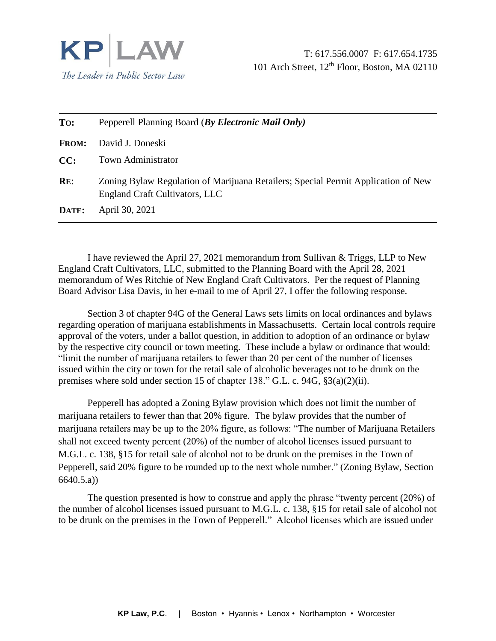

| To:          | Pepperell Planning Board (By Electronic Mail Only)                                                                         |
|--------------|----------------------------------------------------------------------------------------------------------------------------|
| <b>FROM:</b> | David J. Doneski                                                                                                           |
| CC:          | <b>Town Administrator</b>                                                                                                  |
| RE:          | Zoning Bylaw Regulation of Marijuana Retailers; Special Permit Application of New<br><b>England Craft Cultivators, LLC</b> |
| DATE:        | April 30, 2021                                                                                                             |

I have reviewed the April 27, 2021 memorandum from Sullivan & Triggs, LLP to New England Craft Cultivators, LLC, submitted to the Planning Board with the April 28, 2021 memorandum of Wes Ritchie of New England Craft Cultivators. Per the request of Planning Board Advisor Lisa Davis, in her e-mail to me of April 27, I offer the following response.

Section 3 of chapter 94G of the General Laws sets limits on local ordinances and bylaws regarding operation of marijuana establishments in Massachusetts. Certain local controls require approval of the voters, under a ballot question, in addition to adoption of an ordinance or bylaw by the respective city council or town meeting. These include a bylaw or ordinance that would: "limit the number of marijuana retailers to fewer than 20 per cent of the number of licenses issued within the city or town for the retail sale of alcoholic beverages not to be drunk on the premises where sold under section 15 of chapter 138." G.L. c. 94G, §3(a)(2)(ii).

Pepperell has adopted a Zoning Bylaw provision which does not limit the number of marijuana retailers to fewer than that 20% figure. The bylaw provides that the number of marijuana retailers may be up to the 20% figure, as follows: "The number of Marijuana Retailers shall not exceed twenty percent (20%) of the number of alcohol licenses issued pursuant to M.G.L. c. 138, §15 for retail sale of alcohol not to be drunk on the premises in the Town of Pepperell, said 20% figure to be rounded up to the next whole number." (Zoning Bylaw, Section 6640.5.a))

The question presented is how to construe and apply the phrase "twenty percent (20%) of the number of alcohol licenses issued pursuant to M.G.L. c. 138, §15 for retail sale of alcohol not to be drunk on the premises in the Town of Pepperell." Alcohol licenses which are issued under